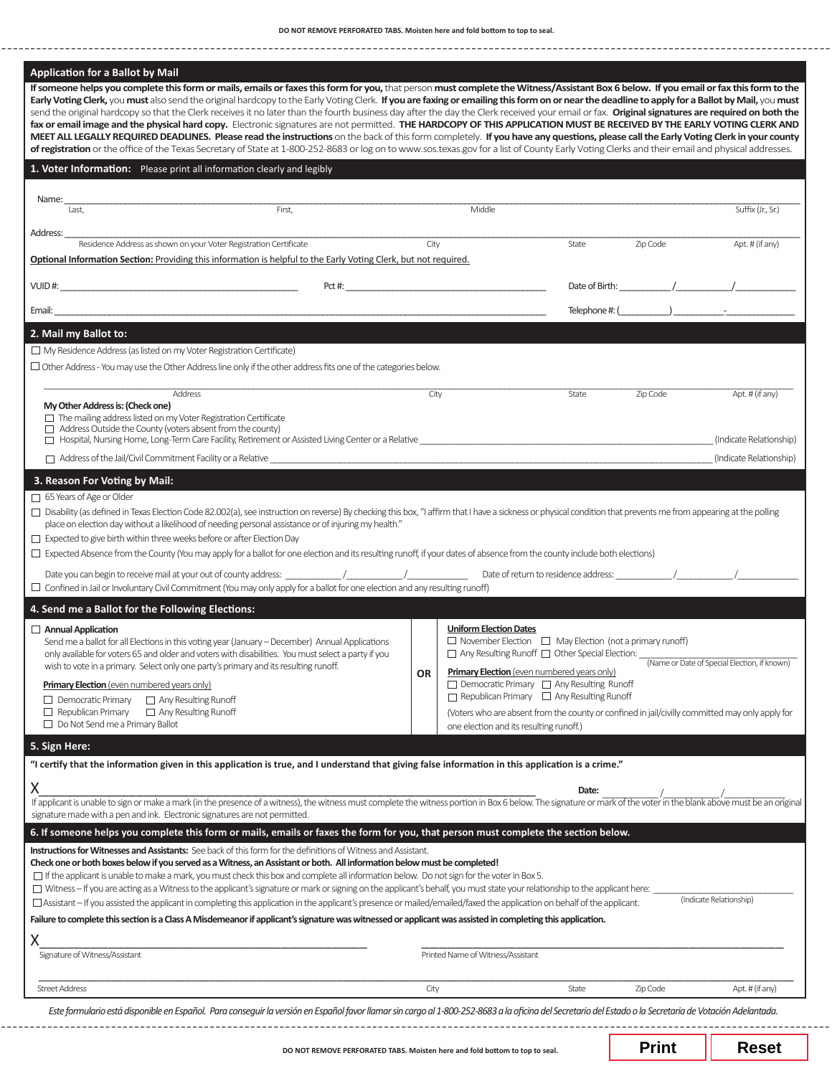**DO NOT REMOVE PERFORATED TABS. Moisten here and fold bottom to top to seal.**

|                                                                                                                                                                                                                                                                                                            | send the original hardcopy so that the Clerk receives it no later than the fourth business day after the day the Clerk received your email or fax. Original signatures are required on both the                                                                                                                                                                  |           |                                                                                                                                |       |                        |                                                                                                                                                                                                                                                                                                                                                                                                                                                                                                                                                     |
|------------------------------------------------------------------------------------------------------------------------------------------------------------------------------------------------------------------------------------------------------------------------------------------------------------|------------------------------------------------------------------------------------------------------------------------------------------------------------------------------------------------------------------------------------------------------------------------------------------------------------------------------------------------------------------|-----------|--------------------------------------------------------------------------------------------------------------------------------|-------|------------------------|-----------------------------------------------------------------------------------------------------------------------------------------------------------------------------------------------------------------------------------------------------------------------------------------------------------------------------------------------------------------------------------------------------------------------------------------------------------------------------------------------------------------------------------------------------|
|                                                                                                                                                                                                                                                                                                            | fax or email image and the physical hard copy. Electronic signatures are not permitted. THE HARDCOPY OF THIS APPLICATION MUST BE RECEIVED BY THE EARLY VOTING CLERK AND<br>MEET ALL LEGALLY REQUIRED DEADLINES. Please read the instructions on the back of this form completely. If you have any questions, please call the Early Voting Clerk in your county   |           |                                                                                                                                |       |                        |                                                                                                                                                                                                                                                                                                                                                                                                                                                                                                                                                     |
|                                                                                                                                                                                                                                                                                                            | of registration or the office of the Texas Secretary of State at 1-800-252-8683 or log on to www.sos.texas.gov for a list of County Early Voting Clerks and their email and physical addresses.                                                                                                                                                                  |           |                                                                                                                                |       |                        |                                                                                                                                                                                                                                                                                                                                                                                                                                                                                                                                                     |
|                                                                                                                                                                                                                                                                                                            | 1. Voter Information: Please print all information clearly and legibly                                                                                                                                                                                                                                                                                           |           |                                                                                                                                |       |                        |                                                                                                                                                                                                                                                                                                                                                                                                                                                                                                                                                     |
| Name:<br>Last,                                                                                                                                                                                                                                                                                             | First,                                                                                                                                                                                                                                                                                                                                                           |           | Middle                                                                                                                         |       |                        | Suffix (Jr., Sr.)                                                                                                                                                                                                                                                                                                                                                                                                                                                                                                                                   |
| Address:                                                                                                                                                                                                                                                                                                   |                                                                                                                                                                                                                                                                                                                                                                  |           |                                                                                                                                |       |                        |                                                                                                                                                                                                                                                                                                                                                                                                                                                                                                                                                     |
|                                                                                                                                                                                                                                                                                                            | Residence Address as shown on your Voter Registration Certificate<br>Optional Information Section: Providing this information is helpful to the Early Voting Clerk, but not required.                                                                                                                                                                            |           | City                                                                                                                           | State | Zip Code and the Santo | Apt. # (if any)                                                                                                                                                                                                                                                                                                                                                                                                                                                                                                                                     |
|                                                                                                                                                                                                                                                                                                            |                                                                                                                                                                                                                                                                                                                                                                  |           |                                                                                                                                |       |                        |                                                                                                                                                                                                                                                                                                                                                                                                                                                                                                                                                     |
|                                                                                                                                                                                                                                                                                                            |                                                                                                                                                                                                                                                                                                                                                                  |           |                                                                                                                                |       |                        | $\begin{tabular}{c} \textbf{Telephone } \textit{#:} \textbf{}\textcolor{red}{\overbrace{\qquad \qquad \qquad }}\textcolor{red}{\textbf{--} \textbf{---}}\textcolor{red}{\textbf{---}}\textcolor{red}{\textbf{---}}\textcolor{red}{\textbf{---}}\textcolor{red}{\textbf{---}}\textcolor{red}{\textbf{---}}\textcolor{red}{\textbf{---}}\textcolor{red}{\textbf{---}}\textcolor{red}{\textbf{---}}\textcolor{red}{\textbf{---}}\textcolor{red}{\textbf{---}}\textcolor{red}{\textbf{---}}\textcolor{red}{\textbf{---}}\textcolor{red}{\textbf{---}}\$ |
| 2. Mail my Ballot to:                                                                                                                                                                                                                                                                                      |                                                                                                                                                                                                                                                                                                                                                                  |           |                                                                                                                                |       |                        |                                                                                                                                                                                                                                                                                                                                                                                                                                                                                                                                                     |
| $\Box$ My Residence Address (as listed on my Voter Registration Certificate)                                                                                                                                                                                                                               |                                                                                                                                                                                                                                                                                                                                                                  |           |                                                                                                                                |       |                        |                                                                                                                                                                                                                                                                                                                                                                                                                                                                                                                                                     |
|                                                                                                                                                                                                                                                                                                            | $\Box$ Other Address - You may use the Other Address line only if the other address fits one of the categories below.                                                                                                                                                                                                                                            |           |                                                                                                                                |       |                        |                                                                                                                                                                                                                                                                                                                                                                                                                                                                                                                                                     |
|                                                                                                                                                                                                                                                                                                            | Address                                                                                                                                                                                                                                                                                                                                                          | City      |                                                                                                                                | State | Zip Code               | Apt. # (if any)                                                                                                                                                                                                                                                                                                                                                                                                                                                                                                                                     |
| My Other Address is: (Check one)<br>$\Box$ The mailing address listed on my Voter Registration Certificate                                                                                                                                                                                                 |                                                                                                                                                                                                                                                                                                                                                                  |           |                                                                                                                                |       |                        |                                                                                                                                                                                                                                                                                                                                                                                                                                                                                                                                                     |
| $\Box$ Address Outside the County (voters absent from the county)                                                                                                                                                                                                                                          | $\Box$ Hospital, Nursing Home, Long-Term Care Facility, Retirement or Assisted Living Center or a Relative                                                                                                                                                                                                                                                       |           |                                                                                                                                |       |                        | (Indicate Relationship)                                                                                                                                                                                                                                                                                                                                                                                                                                                                                                                             |
|                                                                                                                                                                                                                                                                                                            | $\Box$ Address of the Jail/Civil Commitment Facility or a Relative                                                                                                                                                                                                                                                                                               |           |                                                                                                                                |       |                        | (Indicate Relationship)                                                                                                                                                                                                                                                                                                                                                                                                                                                                                                                             |
| 3. Reason For Voting by Mail:                                                                                                                                                                                                                                                                              |                                                                                                                                                                                                                                                                                                                                                                  |           |                                                                                                                                |       |                        |                                                                                                                                                                                                                                                                                                                                                                                                                                                                                                                                                     |
|                                                                                                                                                                                                                                                                                                            | □ Disability (as defined in Texas Election Code 82.002(a), see instruction on reverse) By checking this box, "I affirm that I have a sickness or physical condition that prevents me from appearing at the polling                                                                                                                                               |           |                                                                                                                                |       |                        |                                                                                                                                                                                                                                                                                                                                                                                                                                                                                                                                                     |
|                                                                                                                                                                                                                                                                                                            | place on election day without a likelihood of needing personal assistance or of injuring my health."<br>$\Box$ Expected Absence from the County (You may apply for a ballot for one election and its resulting runoff, if your dates of absence from the county include both elections)                                                                          |           |                                                                                                                                |       |                        |                                                                                                                                                                                                                                                                                                                                                                                                                                                                                                                                                     |
|                                                                                                                                                                                                                                                                                                            |                                                                                                                                                                                                                                                                                                                                                                  |           |                                                                                                                                |       |                        |                                                                                                                                                                                                                                                                                                                                                                                                                                                                                                                                                     |
|                                                                                                                                                                                                                                                                                                            | $\Box$ Confined in Jail or Involuntary Civil Commitment (You may only apply for a ballot for one election and any resulting runoff)                                                                                                                                                                                                                              |           |                                                                                                                                |       |                        |                                                                                                                                                                                                                                                                                                                                                                                                                                                                                                                                                     |
|                                                                                                                                                                                                                                                                                                            |                                                                                                                                                                                                                                                                                                                                                                  |           | <b>Uniform Election Dates</b>                                                                                                  |       |                        |                                                                                                                                                                                                                                                                                                                                                                                                                                                                                                                                                     |
|                                                                                                                                                                                                                                                                                                            | Send me a ballot for all Elections in this voting year (January - December) Annual Applications<br>only available for voters 65 and older and voters with disabilities. You must select a party if you                                                                                                                                                           |           | $\Box$ November Election $\Box$ May Election (not a primary runoff)<br>□ Any Resulting Runoff □ Other Special Election: ______ |       |                        |                                                                                                                                                                                                                                                                                                                                                                                                                                                                                                                                                     |
|                                                                                                                                                                                                                                                                                                            | wish to vote in a primary. Select only one party's primary and its resulting runoff.                                                                                                                                                                                                                                                                             | <b>OR</b> | Primary Election (even numbered years only)                                                                                    |       |                        | (Name or Date of Special Election, if known)                                                                                                                                                                                                                                                                                                                                                                                                                                                                                                        |
| <b>Primary Election</b> (even numbered years only)<br>$\Box$ Democratic Primary                                                                                                                                                                                                                            | □ Any Resulting Runoff                                                                                                                                                                                                                                                                                                                                           |           | $\Box$ Democratic Primary $\Box$ Any Resulting Runoff<br>$\Box$ Republican Primary $\Box$ Any Resulting Runoff                 |       |                        |                                                                                                                                                                                                                                                                                                                                                                                                                                                                                                                                                     |
| $\Box$ Republican Primary<br>$\Box$ Do Not Send me a Primary Ballot                                                                                                                                                                                                                                        | $\Box$ Any Resulting Runoff                                                                                                                                                                                                                                                                                                                                      |           | one election and its resulting runoff.)                                                                                        |       |                        | (Voters who are absent from the county or confined in jail/civilly committed may only apply for                                                                                                                                                                                                                                                                                                                                                                                                                                                     |
|                                                                                                                                                                                                                                                                                                            |                                                                                                                                                                                                                                                                                                                                                                  |           |                                                                                                                                |       |                        |                                                                                                                                                                                                                                                                                                                                                                                                                                                                                                                                                     |
|                                                                                                                                                                                                                                                                                                            | "I certify that the information given in this application is true, and I understand that giving false information in this application is a crime."                                                                                                                                                                                                               |           |                                                                                                                                |       |                        |                                                                                                                                                                                                                                                                                                                                                                                                                                                                                                                                                     |
|                                                                                                                                                                                                                                                                                                            |                                                                                                                                                                                                                                                                                                                                                                  |           |                                                                                                                                | Date: |                        |                                                                                                                                                                                                                                                                                                                                                                                                                                                                                                                                                     |
|                                                                                                                                                                                                                                                                                                            | If applicant is unable to sign or make a mark (in the presence of a witness), the witness must complete the witness portion in Box 6 below. The signature or mark of the voter in the blank above must be an original                                                                                                                                            |           |                                                                                                                                |       |                        |                                                                                                                                                                                                                                                                                                                                                                                                                                                                                                                                                     |
|                                                                                                                                                                                                                                                                                                            |                                                                                                                                                                                                                                                                                                                                                                  |           |                                                                                                                                |       |                        |                                                                                                                                                                                                                                                                                                                                                                                                                                                                                                                                                     |
|                                                                                                                                                                                                                                                                                                            | 6. If someone helps you complete this form or mails, emails or faxes the form for you, that person must complete the section below.                                                                                                                                                                                                                              |           |                                                                                                                                |       |                        |                                                                                                                                                                                                                                                                                                                                                                                                                                                                                                                                                     |
|                                                                                                                                                                                                                                                                                                            | Instructions for Witnesses and Assistants: See back of this form for the definitions of Witness and Assistant.<br>Check one or both boxes below if you served as a Witness, an Assistant or both. All information below must be completed!                                                                                                                       |           |                                                                                                                                |       |                        |                                                                                                                                                                                                                                                                                                                                                                                                                                                                                                                                                     |
|                                                                                                                                                                                                                                                                                                            | $\Box$ If the applicant is unable to make a mark, you must check this box and complete all information below. Do not sign for the voter in Box 5.                                                                                                                                                                                                                |           |                                                                                                                                |       |                        |                                                                                                                                                                                                                                                                                                                                                                                                                                                                                                                                                     |
|                                                                                                                                                                                                                                                                                                            | □ Witness - If you are acting as a Witness to the applicant's signature or mark or signing on the applicant's behalf, you must state your relationship to the applicant here:<br>$\Box$ Assistant – If you assisted the applicant in completing this application in the applicant's presence or mailed/emailed/faxed the application on behalf of the applicant. |           |                                                                                                                                |       |                        | (Indicate Relationship)                                                                                                                                                                                                                                                                                                                                                                                                                                                                                                                             |
|                                                                                                                                                                                                                                                                                                            | Failure to complete this section is a Class A Misdemeanor if applicant's signature was witnessed or applicant was assisted in completing this application.                                                                                                                                                                                                       |           |                                                                                                                                |       |                        |                                                                                                                                                                                                                                                                                                                                                                                                                                                                                                                                                     |
|                                                                                                                                                                                                                                                                                                            |                                                                                                                                                                                                                                                                                                                                                                  |           |                                                                                                                                |       |                        |                                                                                                                                                                                                                                                                                                                                                                                                                                                                                                                                                     |
| $\Box$ Expected to give birth within three weeks before or after Election Day<br>4. Send me a Ballot for the Following Elections:<br>$\Box$ Annual Application<br>5. Sign Here:<br>Χ<br>signature made with a pen and ink. Electronic signatures are not permitted.<br>Χ<br>Signature of Witness/Assistant |                                                                                                                                                                                                                                                                                                                                                                  |           | Printed Name of Witness/Assistant                                                                                              |       |                        |                                                                                                                                                                                                                                                                                                                                                                                                                                                                                                                                                     |

**Print Reset**